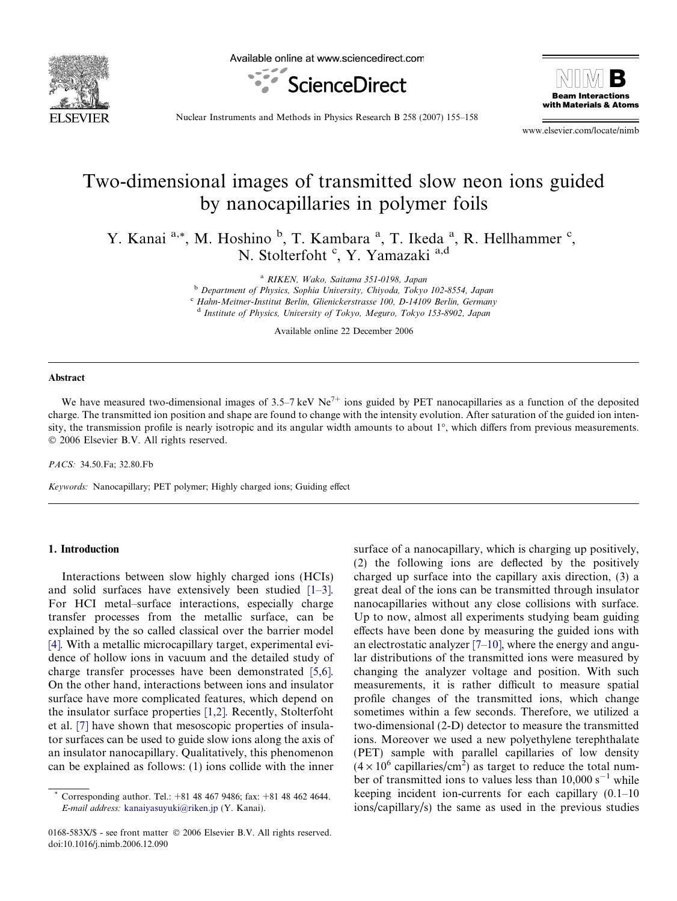

Available online at www.sciencedirect.com





Nuclear Instruments and Methods in Physics Research B 258 (2007) 155–158

www.elsevier.com/locate/nimb

# Two-dimensional images of transmitted slow neon ions guided by nanocapillaries in polymer foils

Y. Kanai <sup>a,\*</sup>, M. Hoshino <sup>b</sup>, T. Kambara <sup>a</sup>, T. Ikeda <sup>a</sup>, R. Hellhammer <sup>c</sup>, N. Stolterfoht <sup>c</sup>, Y. Yamazaki<sup>a,d</sup>

> <sup>a</sup> RIKEN, Wako, Saitama 351-0198, Japan <sup>b</sup> Department of Physics, Sophia University, Chiyoda, Tokyo 102-8554, Japan <sup>c</sup> Hahn-Meitner-Institut Berlin, Glienickerstrasse 100, D-14109 Berlin, Germany <sup>d</sup> Institute of Physics, University of Tokyo, Meguro, Tokyo 153-8902, Japan

> > Available online 22 December 2006

#### Abstract

We have measured two-dimensional images of 3.5–7 keV Ne<sup>7+</sup> ions guided by PET nanocapillaries as a function of the deposited charge. The transmitted ion position and shape are found to change with the intensity evolution. After saturation of the guided ion intensity, the transmission profile is nearly isotropic and its angular width amounts to about  $1^{\circ}$ , which differs from previous measurements. 2006 Elsevier B.V. All rights reserved.

PACS: 34.50.Fa; 32.80.Fb

Keywords: Nanocapillary; PET polymer; Highly charged ions; Guiding effect

#### 1. Introduction

Interactions between slow highly charged ions (HCIs) and solid surfaces have extensively been studied [\[1–3\].](#page-2-0) For HCI metal–surface interactions, especially charge transfer processes from the metallic surface, can be explained by the so called classical over the barrier model [\[4\].](#page-3-0) With a metallic microcapillary target, experimental evidence of hollow ions in vacuum and the detailed study of charge transfer processes have been demonstrated [\[5,6\].](#page-3-0) On the other hand, interactions between ions and insulator surface have more complicated features, which depend on the insulator surface properties [\[1,2\]](#page-2-0). Recently, Stolterfoht et al. [\[7\]](#page-3-0) have shown that mesoscopic properties of insulator surfaces can be used to guide slow ions along the axis of an insulator nanocapillary. Qualitatively, this phenomenon can be explained as follows: (1) ions collide with the inner surface of a nanocapillary, which is charging up positively, (2) the following ions are deflected by the positively charged up surface into the capillary axis direction, (3) a great deal of the ions can be transmitted through insulator nanocapillaries without any close collisions with surface. Up to now, almost all experiments studying beam guiding effects have been done by measuring the guided ions with an electrostatic analyzer [\[7–10\]](#page-3-0), where the energy and angular distributions of the transmitted ions were measured by changing the analyzer voltage and position. With such measurements, it is rather difficult to measure spatial profile changes of the transmitted ions, which change sometimes within a few seconds. Therefore, we utilized a two-dimensional (2-D) detector to measure the transmitted ions. Moreover we used a new polyethylene terephthalate (PET) sample with parallel capillaries of low density  $(4 \times 10^6 \text{ capillaries/cm}^2)$  as target to reduce the total number of transmitted ions to values less than  $10,000 s^{-1}$  while keeping incident ion-currents for each capillary (0.1–10 ions/capillary/s) the same as used in the previous studies

Corresponding author. Tel.:  $+81$  48 467 9486; fax:  $+81$  48 462 4644. E-mail address: [kanaiyasuyuki@riken.jp](mailto:kanaiyasuyuki@riken.jp) (Y. Kanai).

<sup>0168-583</sup>X/\$ - see front matter © 2006 Elsevier B.V. All rights reserved. doi:10.1016/j.nimb.2006.12.090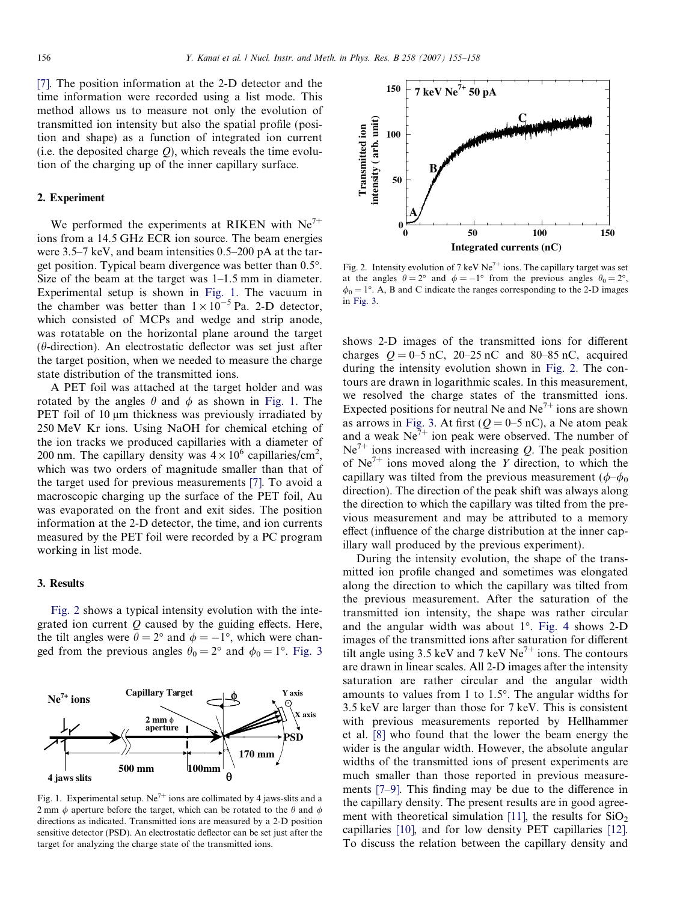<span id="page-1-0"></span>[\[7\]](#page-3-0). The position information at the 2-D detector and the time information were recorded using a list mode. This method allows us to measure not only the evolution of transmitted ion intensity but also the spatial profile (position and shape) as a function of integrated ion current (i.e. the deposited charge  $Q$ ), which reveals the time evolution of the charging up of the inner capillary surface.

#### 2. Experiment

We performed the experiments at RIKEN with  $Ne<sup>7+</sup>$ ions from a 14.5 GHz ECR ion source. The beam energies were 3.5–7 keV, and beam intensities 0.5–200 pA at the target position. Typical beam divergence was better than 0.5°. Size of the beam at the target was 1–1.5 mm in diameter. Experimental setup is shown in Fig. 1. The vacuum in the chamber was better than  $1 \times 10^{-5}$  Pa. 2-D detector, which consisted of MCPs and wedge and strip anode, was rotatable on the horizontal plane around the target ( $\theta$ -direction). An electrostatic deflector was set just after the target position, when we needed to measure the charge state distribution of the transmitted ions.

A PET foil was attached at the target holder and was rotated by the angles  $\theta$  and  $\phi$  as shown in Fig. 1. The PET foil of 10  $\mu$ m thickness was previously irradiated by 250 MeV Kr ions. Using NaOH for chemical etching of the ion tracks we produced capillaries with a diameter of 200 nm. The capillary density was  $4 \times 10^6$  capillaries/cm<sup>2</sup>, which was two orders of magnitude smaller than that of the target used for previous measurements [\[7\]](#page-3-0). To avoid a macroscopic charging up the surface of the PET foil, Au was evaporated on the front and exit sides. The position information at the 2-D detector, the time, and ion currents measured by the PET foil were recorded by a PC program working in list mode.

#### 3. Results

Fig. 2 shows a typical intensity evolution with the integrated ion current  $Q$  caused by the guiding effects. Here, the tilt angles were  $\theta = 2^{\circ}$  and  $\phi = -1^{\circ}$ , which were changed from the previous angles  $\theta_0 = 2^\circ$  and  $\phi_0 = 1^\circ$ . [Fig. 3](#page-2-0)



Fig. 1. Experimental setup. Ne<sup>7+</sup> ions are collimated by 4 jaws-slits and a 2 mm  $\phi$  aperture before the target, which can be rotated to the  $\theta$  and  $\phi$ directions as indicated. Transmitted ions are measured by a 2-D position sensitive detector (PSD). An electrostatic deflector can be set just after the target for analyzing the charge state of the transmitted ions.



Fig. 2. Intensity evolution of 7 keV  $Ne^{7+}$  ions. The capillary target was set at the angles  $\theta = 2^{\circ}$  and  $\phi = -1^{\circ}$  from the previous angles  $\theta_0 = 2^{\circ}$ ,  $\phi_0 = 1^\circ$ . A, B and C indicate the ranges corresponding to the 2-D images in [Fig. 3](#page-2-0).

shows 2-D images of the transmitted ions for different charges  $Q = 0$ –5 nC, 20–25 nC and 80–85 nC, acquired during the intensity evolution shown in Fig. 2. The contours are drawn in logarithmic scales. In this measurement, we resolved the charge states of the transmitted ions. Expected positions for neutral Ne and  $Ne^{7+}$  ions are shown as arrows in [Fig. 3.](#page-2-0) At first ( $Q = 0-5$  nC), a Ne atom peak and a weak  $Ne^{7+}$  ion peak were observed. The number of  $Ne^{7+}$  ions increased with increasing O. The peak position of  $Ne^{7+}$  ions moved along the Y direction, to which the capillary was tilted from the previous measurement ( $\phi - \phi_0$ ) direction). The direction of the peak shift was always along the direction to which the capillary was tilted from the previous measurement and may be attributed to a memory effect (influence of the charge distribution at the inner capillary wall produced by the previous experiment).

During the intensity evolution, the shape of the transmitted ion profile changed and sometimes was elongated along the direction to which the capillary was tilted from the previous measurement. After the saturation of the transmitted ion intensity, the shape was rather circular and the angular width was about  $1^\circ$ . [Fig. 4](#page-2-0) shows 2-D images of the transmitted ions after saturation for different tilt angle using 3.5 keV and 7 keV  $Ne^{7+}$  ions. The contours are drawn in linear scales. All 2-D images after the intensity saturation are rather circular and the angular width amounts to values from 1 to  $1.5^\circ$ . The angular widths for 3.5 keV are larger than those for 7 keV. This is consistent with previous measurements reported by Hellhammer et al. [\[8\]](#page-3-0) who found that the lower the beam energy the wider is the angular width. However, the absolute angular widths of the transmitted ions of present experiments are much smaller than those reported in previous measurements [\[7–9\]](#page-3-0). This finding may be due to the difference in the capillary density. The present results are in good agree-ment with theoretical simulation [\[11\]](#page-3-0), the results for  $SiO<sub>2</sub>$ capillaries [\[10\]](#page-3-0), and for low density PET capillaries [\[12\]](#page-3-0). To discuss the relation between the capillary density and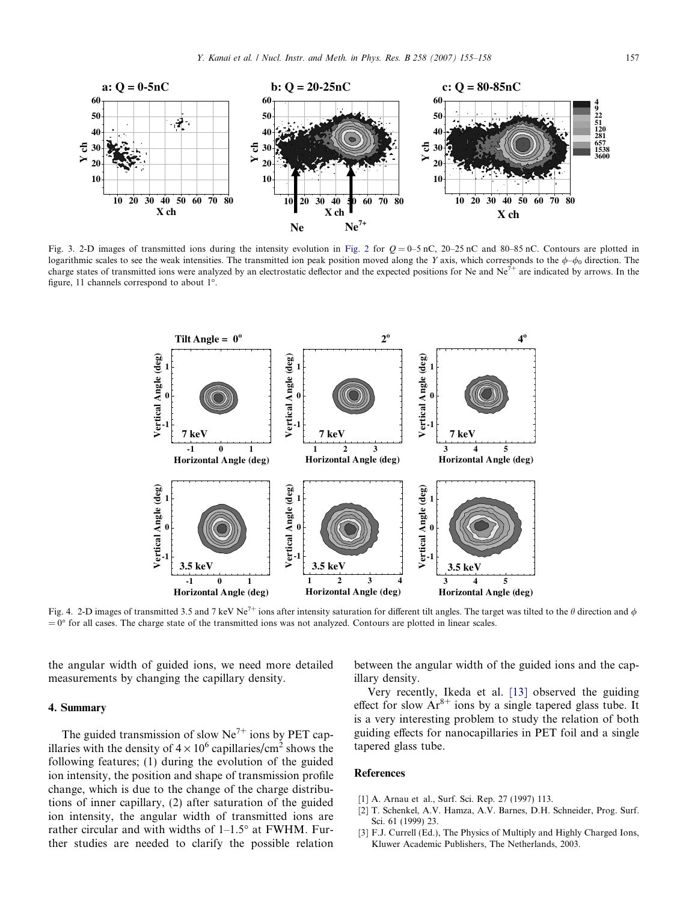<span id="page-2-0"></span>

Fig. 3. 2-D images of transmitted ions during the intensity evolution in [Fig. 2](#page-1-0) for  $Q = 0-5$  nC,  $20-25$  nC and  $80-85$  nC. Contours are plotted in logarithmic scales to see the weak intensities. The transmitted ion peak position moved along the Y axis, which corresponds to the  $\phi-\phi_0$  direction. The charge states of transmitted ions were analyzed by an electrostatic deflector and the expected positions for Ne and Ne<sup>7+</sup> are indicated by arrows. In the figure,  $11$  channels correspond to about  $1^\circ$ .



Fig. 4. 2-D images of transmitted 3.5 and 7 keV Ne<sup>7+</sup> ions after intensity saturation for different tilt angles. The target was tilted to the  $\theta$  direction and  $\phi$  $= 0^{\circ}$  for all cases. The charge state of the transmitted ions was not analyzed. Contours are plotted in linear scales.

the angular width of guided ions, we need more detailed measurements by changing the capillary density.

## 4. Summary

The guided transmission of slow  $Ne^{7+}$  ions by PET capillaries with the density of  $4 \times 10^6$  capillaries/cm<sup>2</sup> shows the following features; (1) during the evolution of the guided ion intensity, the position and shape of transmission profile change, which is due to the change of the charge distributions of inner capillary, (2) after saturation of the guided ion intensity, the angular width of transmitted ions are rather circular and with widths of  $1-1.5^{\circ}$  at FWHM. Further studies are needed to clarify the possible relation between the angular width of the guided ions and the capillary density.

Very recently, Ikeda et al. [\[13\]](#page-3-0) observed the guiding effect for slow  $Ar^{8+}$  ions by a single tapered glass tube. It is a very interesting problem to study the relation of both guiding effects for nanocapillaries in PET foil and a single tapered glass tube.

## References

- [1] A. Arnau et al., Surf. Sci. Rep. 27 (1997) 113.
- [2] T. Schenkel, A.V. Hamza, A.V. Barnes, D.H. Schneider, Prog. Surf. Sci. 61 (1999) 23.
- [3] F.J. Currell (Ed.), The Physics of Multiply and Highly Charged Ions, Kluwer Academic Publishers, The Netherlands, 2003.